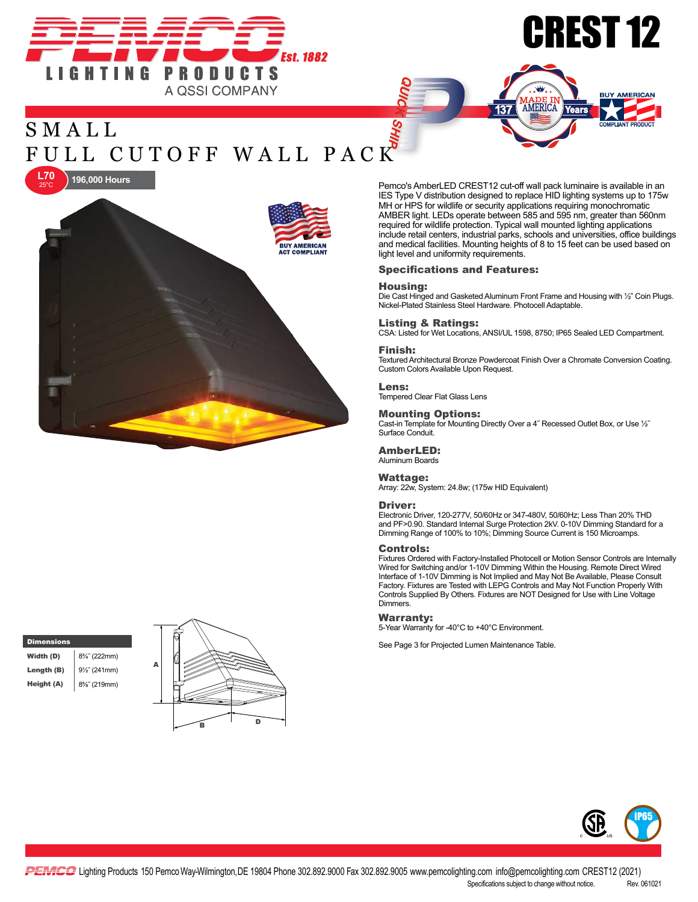



**BUY AMERICAN** 





Pemco's AmberLED CREST12 cut-off wall pack luminaire is available in an IES Type V distribution designed to replace HID lighting systems up to 175w MH or HPS for wildlife or security applications requiring monochromatic AMBER light. LEDs operate between 585 and 595 nm, greater than 560nm required for wildlife protection. Typical wall mounted lighting applications include retail centers, industrial parks, schools and universities, office buildings and medical facilities. Mounting heights of 8 to 15 feet can be used based on light level and uniformity requirements.

AMERICA

137

#### Specifications and Features:

#### Housing:

Die Cast Hinged and Gasketed Aluminum Front Frame and Housing with ½" Coin Plugs. Nickel-Plated Stainless Steel Hardware. Photocell Adaptable.

#### Listing & Ratings:

CSA: Listed for Wet Locations, ANSI/UL 1598, 8750; IP65 Sealed LED Compartment.

#### Finish:

Textured Architectural Bronze Powdercoat Finish Over a Chromate Conversion Coating. Custom Colors Available Upon Request.

#### Lens:

Tempered Clear Flat Glass Lens

#### Mounting Options:

Cast-in Template for Mounting Directly Over a 4˝ Recessed Outlet Box, or Use ½˝ Surface Conduit.

#### AmberLED: Aluminum Boards

Wattage:

Array: 22w, System: 24.8w; (175w HID Equivalent)

#### Driver:

Electronic Driver, 120-277V, 50/60Hz or 347-480V, 50/60Hz; Less Than 20% THD and PF>0.90. Standard Internal Surge Protection 2kV. 0-10V Dimming Standard for a Dimming Range of 100% to 10%; Dimming Source Current is 150 Microamps.

#### Controls:

Fixtures Ordered with Factory-Installed Photocell or Motion Sensor Controls are Internally Wired for Switching and/or 1-10V Dimming Within the Housing. Remote Direct Wired Interface of 1-10V Dimming is Not Implied and May Not Be Available, Please Consult Factory. Fixtures are Tested with LEPG Controls and May Not Function Properly With Controls Supplied By Others. Fixtures are NOT Designed for Use with Line Voltage Dimmers.

#### Warranty:

5-Year Warranty for -40°C to +40°C Environment.

**Dimensions Example 2 for Projected Lumen Maintenance Table.** See Page 3 for Projected Lumen Maintenance Table.

**Width (D)**  $8\frac{3}{4}$  (222mm)





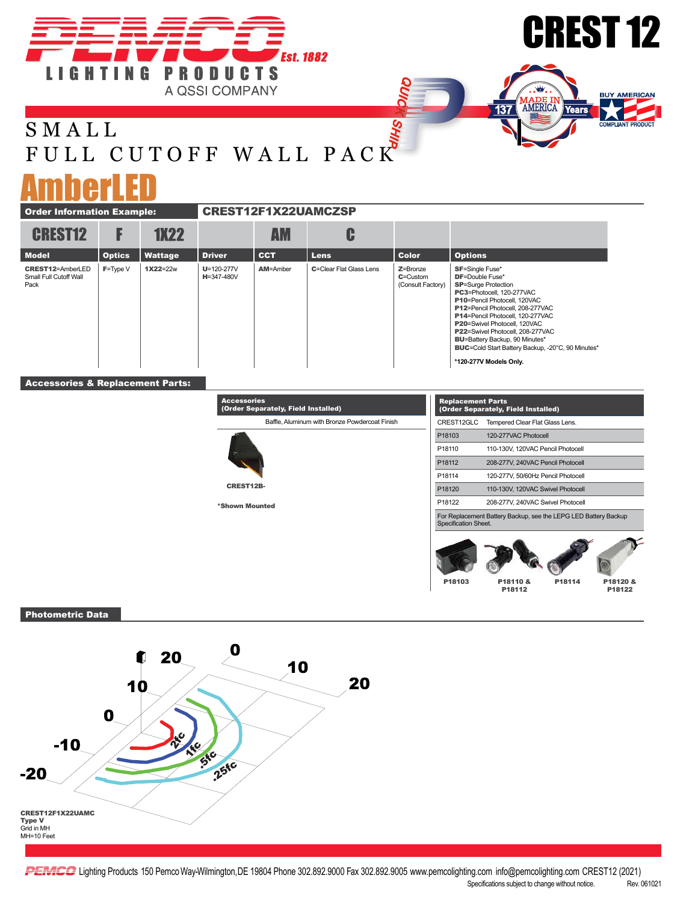





## S M A L L FULL CUTOFF WALL PACK

# AmberLED

| <b>Order Information Example:</b>                         |               |             | <b>CREST12F1X22UAMCZSP</b>     |                 |                         |                                                |                                                                                                                                                                                                                                                                                                                                                                                                                          |
|-----------------------------------------------------------|---------------|-------------|--------------------------------|-----------------|-------------------------|------------------------------------------------|--------------------------------------------------------------------------------------------------------------------------------------------------------------------------------------------------------------------------------------------------------------------------------------------------------------------------------------------------------------------------------------------------------------------------|
| <b>CREST12</b>                                            |               | <b>1X22</b> |                                | <b>AM</b>       | C                       |                                                |                                                                                                                                                                                                                                                                                                                                                                                                                          |
| <b>Model</b>                                              | <b>Optics</b> | Wattage     | <b>Driver</b>                  | <b>CCT</b>      | <b>Lens</b>             | <b>Color</b>                                   | <b>Options</b>                                                                                                                                                                                                                                                                                                                                                                                                           |
| <b>CREST12=AmberLED</b><br>Small Full Cutoff Wall<br>Pack | $F = Type V$  | 1X22=22w    | $U = 120 - 277V$<br>H=347-480V | <b>AM=Amber</b> | C=Clear Flat Glass Lens | $Z = B$ ronze<br>C=Custom<br>(Consult Factory) | <b>SF=Single Fuse*</b><br><b>DF</b> =Double Fuse*<br><b>SP=Surge Protection</b><br>PC3=Photocell, 120-277VAC<br><b>P10</b> =Pencil Photocell, 120VAC<br>P12=Pencil Photocell, 208-277VAC<br>P14=Pencil Photocell, 120-277VAC<br>P20=Swivel Photocell, 120VAC<br>P22=Swivel Photocell, 208-277VAC<br><b>BU=Battery Backup, 90 Minutes*</b><br>BUC=Cold Start Battery Backup, -20°C, 90 Minutes*<br>*120-277V Models Only. |

ely, Field Installed)

### Accessories & Replacement Parts:

|                  | Baffle, Aluminum with Bronze Powdercoat Finish |
|------------------|------------------------------------------------|
|                  |                                                |
| <b>CREST12B-</b> |                                                |

**Accessories**<br>(Order Separ

\*Shown Mounted

| CREST12GLC           | Tempered Clear Flat Glass Lens.                                 |       |        |  |  |  |
|----------------------|-----------------------------------------------------------------|-------|--------|--|--|--|
| P <sub>18103</sub>   | 120-277VAC Photocell                                            |       |        |  |  |  |
| P <sub>18110</sub>   | 110-130V, 120VAC Pencil Photocell                               |       |        |  |  |  |
| P18112               | 208-277V, 240VAC Pencil Photocell                               |       |        |  |  |  |
| P18114               | 120-277V, 50/60Hz Pencil Photocell                              |       |        |  |  |  |
| P18120               | 110-130V, 120VAC Swivel Photocell                               |       |        |  |  |  |
| P18122               | 208-277V, 240VAC Swivel Photocell                               |       |        |  |  |  |
| Specification Sheet. | For Replacement Battery Backup, see the LEPG LED Battery Backup |       |        |  |  |  |
|                      |                                                                 |       |        |  |  |  |
| P18103               | P18110                                                          | 18114 | 8120 & |  |  |  |

P18122

P18110 & P18103 P18114 P18112

Photometric Data



PEMICG Lighting Products 150 Pemco Way-Wilmington, DE 19804 Phone 302.892.9000 Fax 302.892.9005 www.pemcolighting.com info@pemcolighting.com CREST12 (2021) Specifications subject to change without notice. Rev. 061021